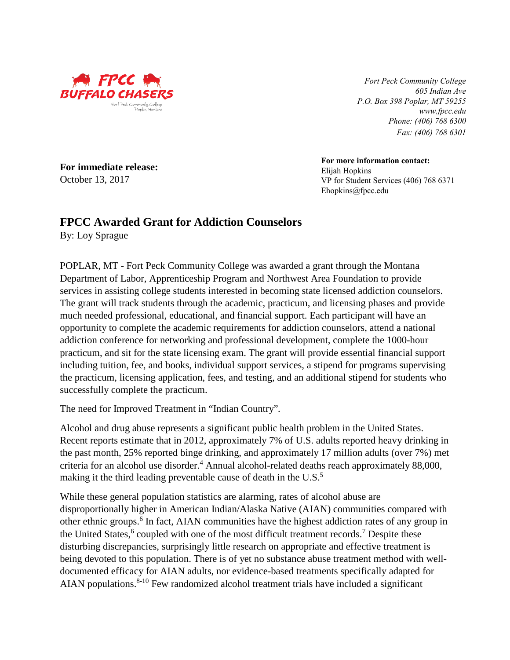

**For immediate release:**

*Fort Peck Community College 605 Indian Ave P.O. Box 398 Poplar, MT 59255 www.fpcc.edu Phone: (406) 768 6300 Fax: (406) 768 6301*

**For more information contact:** Elijah Hopkins VP for Student Services (406) 768 6371 Ehopkins@fpcc.edu

## **FPCC Awarded Grant for Addiction Counselors**

By: Loy Sprague

October 13, 2017

POPLAR, MT - Fort Peck Community College was awarded a grant through the Montana Department of Labor, Apprenticeship Program and Northwest Area Foundation to provide services in assisting college students interested in becoming state licensed addiction counselors. The grant will track students through the academic, practicum, and licensing phases and provide much needed professional, educational, and financial support. Each participant will have an opportunity to complete the academic requirements for addiction counselors, attend a national addiction conference for networking and professional development, complete the 1000-hour practicum, and sit for the state licensing exam. The grant will provide essential financial support including tuition, fee, and books, individual support services, a stipend for programs supervising the practicum, licensing application, fees, and testing, and an additional stipend for students who successfully complete the practicum.

The need for Improved Treatment in "Indian Country"*.* 

Alcohol and drug abuse represents a significant public health problem in the United States. Recent reports estimate that in 2012, approximately 7% of U.S. adults reported heavy drinking in the past month, 25% reported binge drinking, and approximately 17 million adults (over 7%) met criteria for an alcohol use disorder.<sup>4</sup> Annual alcohol-related deaths reach approximately 88,000, making it the third leading preventable cause of death in the U.S. $<sup>5</sup>$ </sup>

While these general population statistics are alarming, rates of alcohol abuse are disproportionally higher in American Indian/Alaska Native (AIAN) communities compared with other ethnic groups.<sup>6</sup> In fact, AIAN communities have the highest addiction rates of any group in the United States,  $6$  coupled with one of the most difficult treatment records.<sup>7</sup> Despite these disturbing discrepancies, surprisingly little research on appropriate and effective treatment is being devoted to this population. There is of yet no substance abuse treatment method with welldocumented efficacy for AIAN adults, nor evidence-based treatments specifically adapted for AIAN populations. $8-10$  Few randomized alcohol treatment trials have included a significant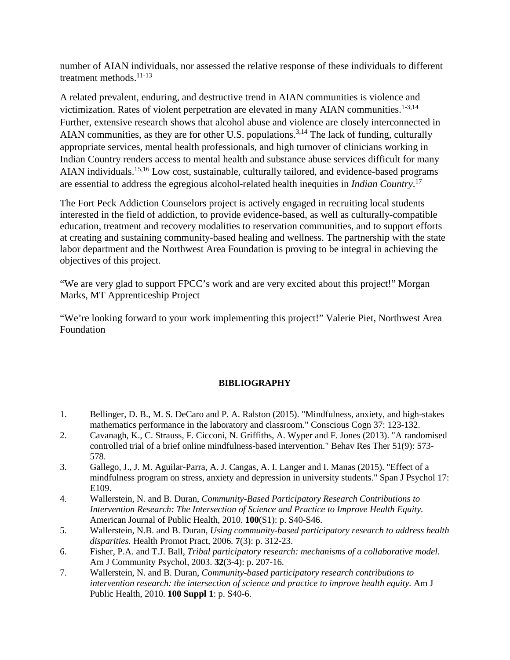number of AIAN individuals, nor assessed the relative response of these individuals to different treatment methods. $11-13$ 

A related prevalent, enduring, and destructive trend in AIAN communities is violence and victimization. Rates of violent perpetration are elevated in many AIAN communities.<sup>1-3,14</sup> Further, extensive research shows that alcohol abuse and violence are closely interconnected in AIAN communities, as they are for other U.S. populations.<sup>3,14</sup> The lack of funding, culturally appropriate services, mental health professionals, and high turnover of clinicians working in Indian Country renders access to mental health and substance abuse services difficult for many AIAN individuals.15,16 Low cost, sustainable, culturally tailored, and evidence-based programs are essential to address the egregious alcohol-related health inequities in *Indian Country*. 17

The Fort Peck Addiction Counselors project is actively engaged in recruiting local students interested in the field of addiction, to provide evidence-based, as well as culturally-compatible education, treatment and recovery modalities to reservation communities, and to support efforts at creating and sustaining community-based healing and wellness. The partnership with the state labor department and the Northwest Area Foundation is proving to be integral in achieving the objectives of this project.

"We are very glad to support FPCC's work and are very excited about this project!" Morgan Marks, MT Apprenticeship Project

"We're looking forward to your work implementing this project!" Valerie Piet, Northwest Area Foundation

## **BIBLIOGRAPHY**

- 1. Bellinger, D. B., M. S. DeCaro and P. A. Ralston (2015). "Mindfulness, anxiety, and high-stakes mathematics performance in the laboratory and classroom." Conscious Cogn 37: 123-132.
- 2. Cavanagh, K., C. Strauss, F. Cicconi, N. Griffiths, A. Wyper and F. Jones (2013). "A randomised controlled trial of a brief online mindfulness-based intervention." Behav Res Ther 51(9): 573- 578.
- 3. Gallego, J., J. M. Aguilar-Parra, A. J. Cangas, A. I. Langer and I. Manas (2015). "Effect of a mindfulness program on stress, anxiety and depression in university students." Span J Psychol 17: E109.
- 4. Wallerstein, N. and B. Duran, *Community-Based Participatory Research Contributions to Intervention Research: The Intersection of Science and Practice to Improve Health Equity.* American Journal of Public Health, 2010. **100**(S1): p. S40-S46.
- 5. Wallerstein, N.B. and B. Duran, *Using community-based participatory research to address health disparities.* Health Promot Pract, 2006. **7**(3): p. 312-23.
- 6. Fisher, P.A. and T.J. Ball, *Tribal participatory research: mechanisms of a collaborative model.* Am J Community Psychol, 2003. **32**(3-4): p. 207-16.
- 7. Wallerstein, N. and B. Duran, *Community-based participatory research contributions to intervention research: the intersection of science and practice to improve health equity.* Am J Public Health, 2010. **100 Suppl 1**: p. S40-6.